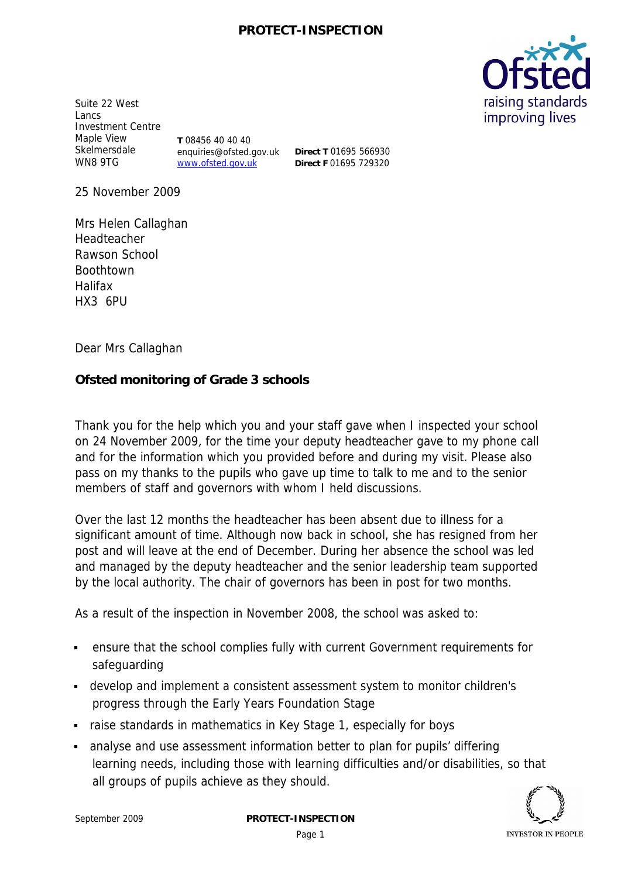

Suite 22 West Lancs Investment Centre Maple View Skelmersdale WN8 9TG

**T** 08456 40 40 40 enquiries@ofsted.gov.uk www.ofsted.gov.uk

**Direct T** 01695 566930 **Direct F** 01695 729320

25 November 2009

Mrs Helen Callaghan Headteacher Rawson School Boothtown Halifax HX3 6PU

Dear Mrs Callaghan

**Ofsted monitoring of Grade 3 schools**

Thank you for the help which you and your staff gave when I inspected your school on 24 November 2009, for the time your deputy headteacher gave to my phone call and for the information which you provided before and during my visit. Please also pass on my thanks to the pupils who gave up time to talk to me and to the senior members of staff and governors with whom I held discussions.

Over the last 12 months the headteacher has been absent due to illness for a significant amount of time. Although now back in school, she has resigned from her post and will leave at the end of December. During her absence the school was led and managed by the deputy headteacher and the senior leadership team supported by the local authority. The chair of governors has been in post for two months.

As a result of the inspection in November 2008, the school was asked to:

- ensure that the school complies fully with current Government requirements for safeguarding
- develop and implement a consistent assessment system to monitor children's progress through the Early Years Foundation Stage
- raise standards in mathematics in Key Stage 1, especially for boys
- analyse and use assessment information better to plan for pupils' differing learning needs, including those with learning difficulties and/or disabilities, so that all groups of pupils achieve as they should.

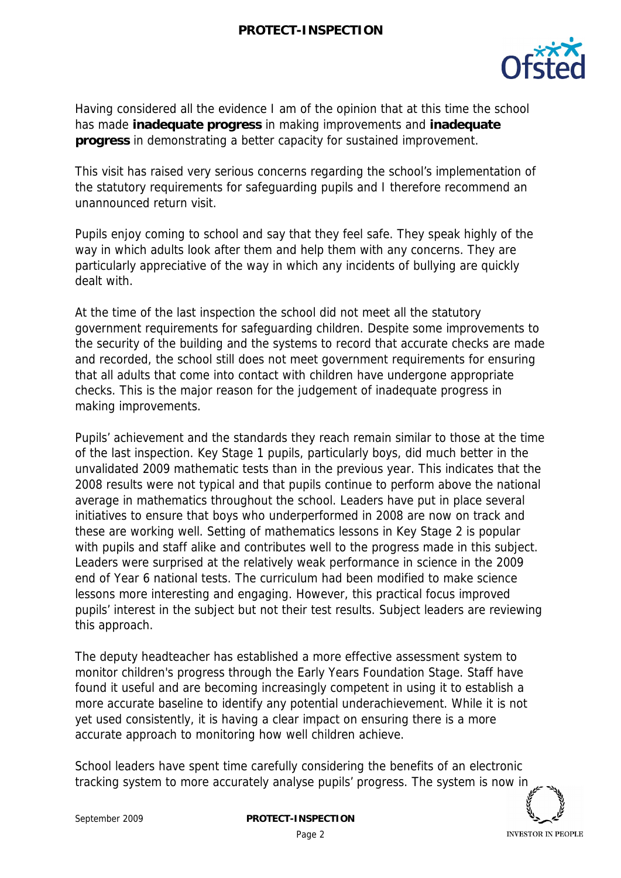

Having considered all the evidence I am of the opinion that at this time the school has made **inadequate progress** in making improvements and **inadequate progress** in demonstrating a better capacity for sustained improvement.

This visit has raised very serious concerns regarding the school's implementation of the statutory requirements for safeguarding pupils and I therefore recommend an unannounced return visit.

Pupils enjoy coming to school and say that they feel safe. They speak highly of the way in which adults look after them and help them with any concerns. They are particularly appreciative of the way in which any incidents of bullying are quickly dealt with.

At the time of the last inspection the school did not meet all the statutory government requirements for safeguarding children. Despite some improvements to the security of the building and the systems to record that accurate checks are made and recorded, the school still does not meet government requirements for ensuring that all adults that come into contact with children have undergone appropriate checks. This is the major reason for the judgement of inadequate progress in making improvements.

Pupils' achievement and the standards they reach remain similar to those at the time of the last inspection. Key Stage 1 pupils, particularly boys, did much better in the unvalidated 2009 mathematic tests than in the previous year. This indicates that the 2008 results were not typical and that pupils continue to perform above the national average in mathematics throughout the school. Leaders have put in place several initiatives to ensure that boys who underperformed in 2008 are now on track and these are working well. Setting of mathematics lessons in Key Stage 2 is popular with pupils and staff alike and contributes well to the progress made in this subject. Leaders were surprised at the relatively weak performance in science in the 2009 end of Year 6 national tests. The curriculum had been modified to make science lessons more interesting and engaging. However, this practical focus improved pupils' interest in the subject but not their test results. Subject leaders are reviewing this approach.

The deputy headteacher has established a more effective assessment system to monitor children's progress through the Early Years Foundation Stage. Staff have found it useful and are becoming increasingly competent in using it to establish a more accurate baseline to identify any potential underachievement. While it is not yet used consistently, it is having a clear impact on ensuring there is a more accurate approach to monitoring how well children achieve.

School leaders have spent time carefully considering the benefits of an electronic tracking system to more accurately analyse pupils' progress. The system is now in